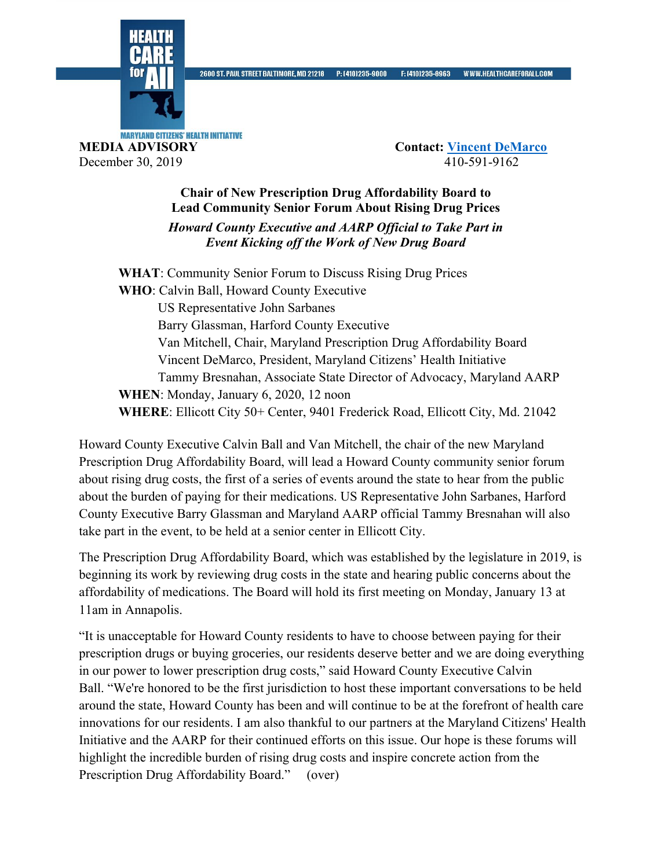

**MARYLAND CITIZENS' HEALTH INITIATIVE MEDIA ADVISORY Contact: Vincent DeMarco** December 30, 2019 410-591-9162

## **Chair of New Prescription Drug Affordability Board to Lead Community Senior Forum About Rising Drug Prices** *Howard County Executive and AARP Official to Take Part in Event Kicking off the Work of New Drug Board*

**WHAT**: Community Senior Forum to Discuss Rising Drug Prices **WHO**: Calvin Ball, Howard County Executive US Representative John Sarbanes Barry Glassman, Harford County Executive Van Mitchell, Chair, Maryland Prescription Drug Affordability Board Vincent DeMarco, President, Maryland Citizens' Health Initiative Tammy Bresnahan, Associate State Director of Advocacy, Maryland AARP **WHEN**: Monday, January 6, 2020, 12 noon **WHERE**: Ellicott City 50+ Center, 9401 Frederick Road, Ellicott City, Md. 21042

Howard County Executive Calvin Ball and Van Mitchell, the chair of the new Maryland Prescription Drug Affordability Board, will lead a Howard County community senior forum about rising drug costs, the first of a series of events around the state to hear from the public about the burden of paying for their medications. US Representative John Sarbanes, Harford County Executive Barry Glassman and Maryland AARP official Tammy Bresnahan will also take part in the event, to be held at a senior center in Ellicott City.

The Prescription Drug Affordability Board, which was established by the legislature in 2019, is beginning its work by reviewing drug costs in the state and hearing public concerns about the affordability of medications. The Board will hold its first meeting on Monday, January 13 at 11am in Annapolis.

"It is unacceptable for Howard County residents to have to choose between paying for their prescription drugs or buying groceries, our residents deserve better and we are doing everything in our power to lower prescription drug costs," said Howard County Executive Calvin Ball. "We're honored to be the first jurisdiction to host these important conversations to be held around the state, Howard County has been and will continue to be at the forefront of health care innovations for our residents. I am also thankful to our partners at the Maryland Citizens' Health Initiative and the AARP for their continued efforts on this issue. Our hope is these forums will highlight the incredible burden of rising drug costs and inspire concrete action from the Prescription Drug Affordability Board." (over)